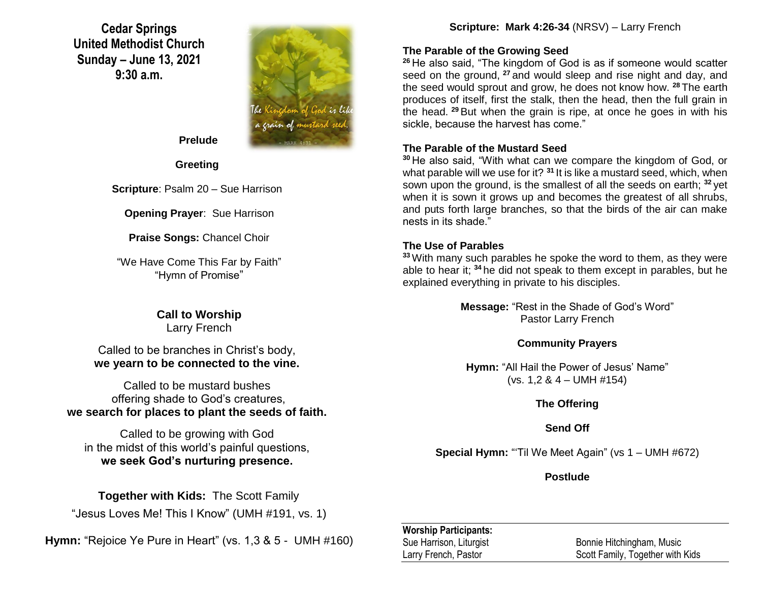**Cedar Springs United Methodist Church Sunday – June 13, 2021 9:30 a.m.**



 **Prelude**

**Greeting**

**Scripture**: Psalm 20 – Sue Harrison

**Opening Prayer**: Sue Harrison

**Praise Songs:** Chancel Choir

"We Have Come This Far by Faith" "Hymn of Promise"

> **Call to Worship** Larry French

Called to be branches in Christ's body, **we yearn to be connected to the vine.**

Called to be mustard bushes offering shade to God's creatures, **we search for places to plant the seeds of faith.**

Called to be growing with God in the midst of this world's painful questions, **we seek God's nurturing presence.**

**Together with Kids:** The Scott Family

"Jesus Loves Me! This I Know" (UMH #191, vs. 1)

**Hymn:** "Rejoice Ye Pure in Heart" (vs. 1,3 & 5 - UMH #160)

**Scripture: Mark 4:26-34** (NRSV) – Larry French

### **The Parable of the Growing Seed**

**<sup>26</sup>** He also said, "The kingdom of God is as if someone would scatter seed on the ground, <sup>27</sup> and would sleep and rise night and day, and the seed would sprout and grow, he does not know how. **<sup>28</sup>** The earth produces of itself, first the stalk, then the head, then the full grain in the head. **<sup>29</sup>** But when the grain is ripe, at once he goes in with his sickle, because the harvest has come."

## **The Parable of the Mustard Seed**

**<sup>30</sup>** He also said, "With what can we compare the kingdom of God, or what parable will we use for it? **<sup>31</sup>** It is like a mustard seed, which, when sown upon the ground, is the smallest of all the seeds on earth; **<sup>32</sup>** yet when it is sown it grows up and becomes the greatest of all shrubs, and puts forth large branches, so that the birds of the air can make nests in its shade."

## **The Use of Parables**

**<sup>33</sup>** With many such parables he spoke the word to them, as they were able to hear it; **<sup>34</sup>** he did not speak to them except in parables, but he explained everything in private to his disciples.

> **Message:** "Rest in the Shade of God's Word" Pastor Larry French

## **Community Prayers**

**Hymn:** "All Hail the Power of Jesus' Name" (vs.  $1,2 \& 4 - UMH \#154$ )

## **The Offering**

## **Send Off**

**Special Hymn:** "Til We Meet Again" (vs 1 – UMH #672)

**Postlude**

### **Worship Participants:**

Sue Harrison, Liturgist Bonnie Hitchingham, Music Larry French, Pastor Scott Family, Together with Kids